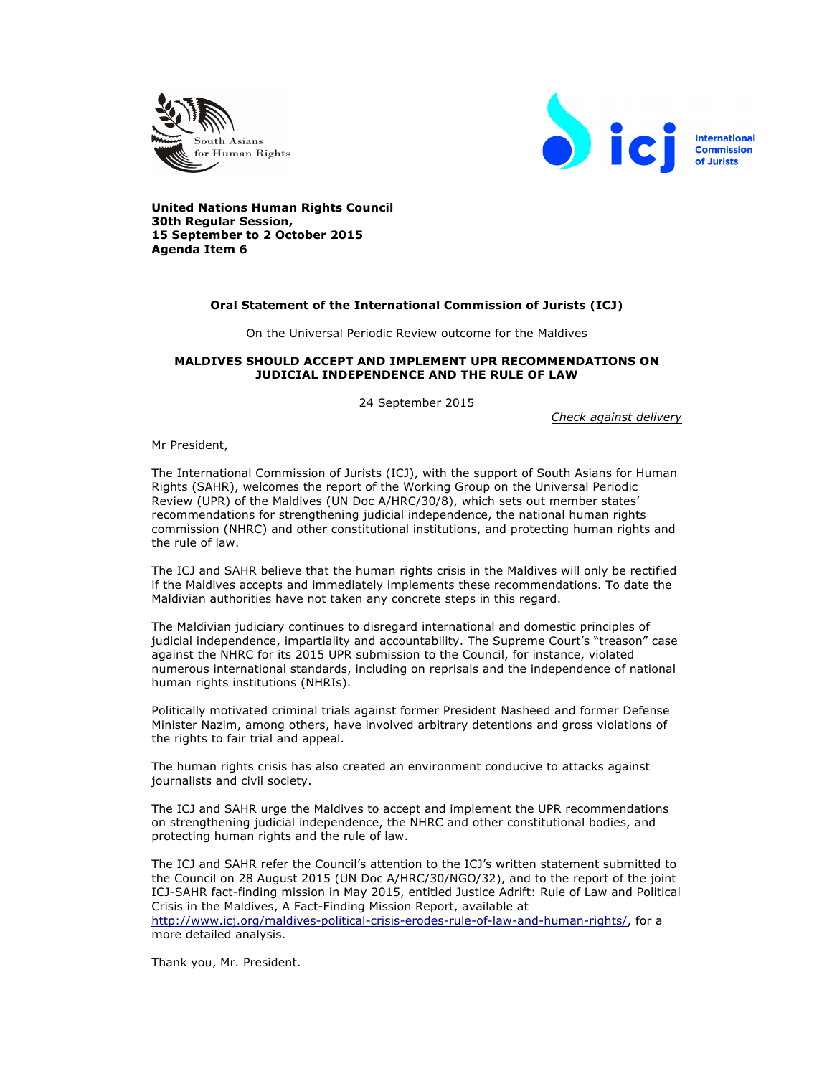



**United Nations Human Rights Council 30th Regular Session, 15 September to 2 October 2015 Agenda Item 6**

## **Oral Statement of the International Commission of Jurists (ICJ)**

On the Universal Periodic Review outcome for the Maldives

## **MALDIVES SHOULD ACCEPT AND IMPLEMENT UPR RECOMMENDATIONS ON JUDICIAL INDEPENDENCE AND THE RULE OF LAW**

24 September 2015

*Check against delivery*

Mr President,

The International Commission of Jurists (ICJ), with the support of South Asians for Human Rights (SAHR), welcomes the report of the Working Group on the Universal Periodic Review (UPR) of the Maldives (UN Doc A/HRC/30/8), which sets out member states' recommendations for strengthening judicial independence, the national human rights commission (NHRC) and other constitutional institutions, and protecting human rights and the rule of law.

The ICJ and SAHR believe that the human rights crisis in the Maldives will only be rectified if the Maldives accepts and immediately implements these recommendations. To date the Maldivian authorities have not taken any concrete steps in this regard.

The Maldivian judiciary continues to disregard international and domestic principles of judicial independence, impartiality and accountability. The Supreme Court's "treason" case against the NHRC for its 2015 UPR submission to the Council, for instance, violated numerous international standards, including on reprisals and the independence of national human rights institutions (NHRIs).

Politically motivated criminal trials against former President Nasheed and former Defense Minister Nazim, among others, have involved arbitrary detentions and gross violations of the rights to fair trial and appeal.

The human rights crisis has also created an environment conducive to attacks against journalists and civil society.

The ICJ and SAHR urge the Maldives to accept and implement the UPR recommendations on strengthening judicial independence, the NHRC and other constitutional bodies, and protecting human rights and the rule of law.

The ICJ and SAHR refer the Council's attention to the ICJ's written statement submitted to the Council on 28 August 2015 (UN Doc A/HRC/30/NGO/32), and to the report of the joint ICJ-SAHR fact-finding mission in May 2015, entitled Justice Adrift: Rule of Law and Political Crisis in the Maldives, A Fact-Finding Mission Report, available at http://www.icj.org/maldives-political-crisis-erodes-rule-of-law-and-human-rights/, for a more detailed analysis.

Thank you, Mr. President.